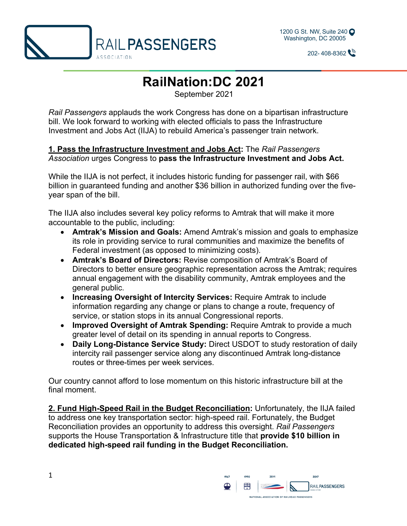



 $202 - 408 - 8362$ 

## **RailNation:DC 2021**

September 2021

*Rail Passengers* applauds the work Congress has done on a bipartisan infrastructure bill. We look forward to working with elected officials to pass the Infrastructure Investment and Jobs Act (IIJA) to rebuild America's passenger train network.

## **1. Pass the Infrastructure Investment and Jobs Act:** The *Rail Passengers Association* urges Congress to **pass the Infrastructure Investment and Jobs Act.**

While the IIJA is not perfect, it includes historic funding for passenger rail, with \$66 billion in guaranteed funding and another \$36 billion in authorized funding over the fiveyear span of the bill.

The IIJA also includes several key policy reforms to Amtrak that will make it more accountable to the public, including:

- **Amtrak's Mission and Goals:** Amend Amtrak's mission and goals to emphasize its role in providing service to rural communities and maximize the benefits of Federal investment (as opposed to minimizing costs).
- **Amtrak's Board of Directors:** Revise composition of Amtrak's Board of Directors to better ensure geographic representation across the Amtrak; requires annual engagement with the disability community, Amtrak employees and the general public.
- **Increasing Oversight of Intercity Services:** Require Amtrak to include information regarding any change or plans to change a route, frequency of service, or station stops in its annual Congressional reports.
- **Improved Oversight of Amtrak Spending:** Require Amtrak to provide a much greater level of detail on its spending in annual reports to Congress.
- **Daily Long-Distance Service Study:** Direct USDOT to study restoration of daily intercity rail passenger service along any discontinued Amtrak long-distance routes or three-times per week services.

Our country cannot afford to lose momentum on this historic infrastructure bill at the final moment.

**2. Fund High-Speed Rail in the Budget Reconciliation:** Unfortunately, the IIJA failed to address one key transportation sector: high-speed rail. Fortunately, the Budget Reconciliation provides an opportunity to address this oversight. *Rail Passengers* supports the House Transportation & Infrastructure title that **provide \$10 billion in dedicated high-speed rail funding in the Budget Reconciliation.** 



1